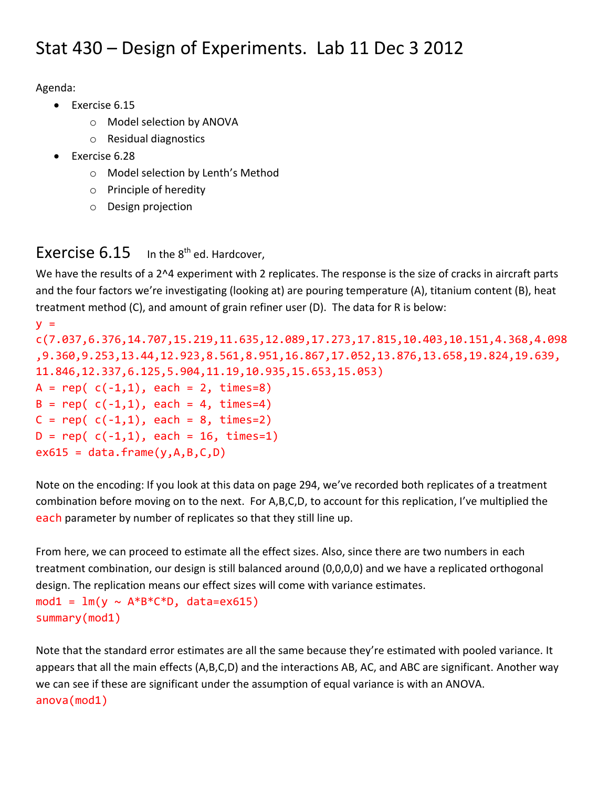## Stat 430 – Design of Experiments. Lab 11 Dec 3 2012

Agenda:

- Exercise 6.15
	- o Model selection by ANOVA
	- o Residual diagnostics
- Exercise 6.28
	- o Model selection by Lenth's Method
	- o Principle of heredity
	- o Design projection

## Exercise  $6.15$  In the  $8<sup>th</sup>$  ed. Hardcover,

We have the results of a 2^4 experiment with 2 replicates. The response is the size of cracks in aircraft parts and the four factors we're investigating (looking at) are pouring temperature (A), titanium content (B), heat treatment method (C), and amount of grain refiner user (D). The data for R is below:

```
y =c(7.037,6.376,14.707,15.219,11.635,12.089,17.273,17.815,10.403,10.151,4.368,4.098
,9.360,9.253,13.44,12.923,8.561,8.951,16.867,17.052,13.876,13.658,19.824,19.639, 
11.846,12.337,6.125,5.904,11.19,10.935,15.653,15.053)
A = rep( c(-1,1), each = 2, times=8)B = rep( c(-1,1), each = 4, times=4)C = rep( c(-1,1), each = 8, times=2)D = rep( c(-1,1), each = 16, times=1)ex615 = data-frame(y,A,B,C,D)
```
Note on the encoding: If you look at this data on page 294, we've recorded both replicates of a treatment combination before moving on to the next. For A,B,C,D, to account for this replication, I've multiplied the each parameter by number of replicates so that they still line up.

From here, we can proceed to estimate all the effect sizes. Also, since there are two numbers in each treatment combination, our design is still balanced around (0,0,0,0) and we have a replicated orthogonal design. The replication means our effect sizes will come with variance estimates. mod1 =  $lm(y \sim A*B*C*D$ , data=ex615) summary(mod1)

Note that the standard error estimates are all the same because they're estimated with pooled variance. It appears that all the main effects (A,B,C,D) and the interactions AB, AC, and ABC are significant. Another way we can see if these are significant under the assumption of equal variance is with an ANOVA. anova(mod1)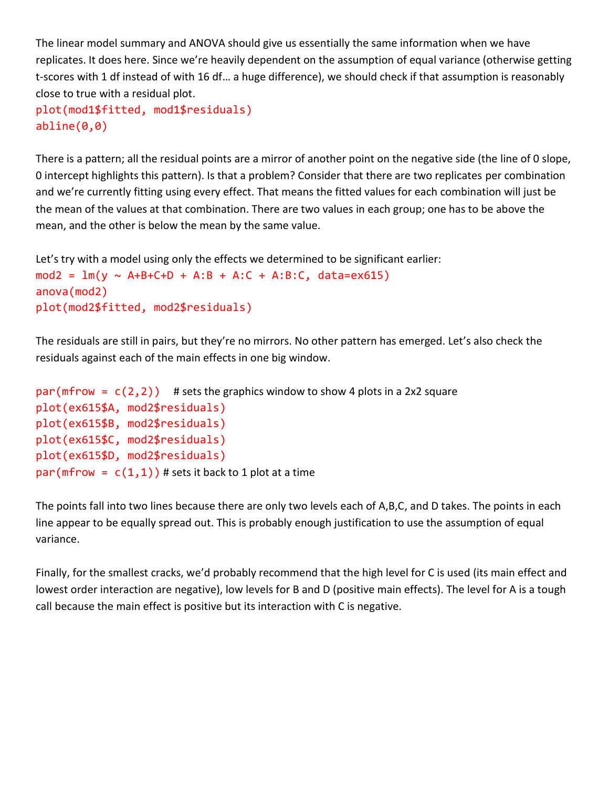The linear model summary and ANOVA should give us essentially the same information when we have replicates. It does here. Since we're heavily dependent on the assumption of equal variance (otherwise getting t-scores with 1 df instead of with 16 df… a huge difference), we should check if that assumption is reasonably close to true with a residual plot.

```
plot(mod1$fitted, mod1$residuals)
abline(0,0)
```
There is a pattern; all the residual points are a mirror of another point on the negative side (the line of 0 slope, 0 intercept highlights this pattern). Is that a problem? Consider that there are two replicates per combination and we're currently fitting using every effect. That means the fitted values for each combination will just be the mean of the values at that combination. There are two values in each group; one has to be above the mean, and the other is below the mean by the same value.

```
Let's try with a model using only the effects we determined to be significant earlier:
mod2 = lm(y \sim A+B+C+D + A:B + A:C + A:B:C, data=ex615)anova(mod2)
plot(mod2$fitted, mod2$residuals)
```
The residuals are still in pairs, but they're no mirrors. No other pattern has emerged. Let's also check the residuals against each of the main effects in one big window.

```
par(mfrow = c(2,2)) # sets the graphics window to show 4 plots in a 2x2 square
plot(ex615$A, mod2$residuals)
plot(ex615$B, mod2$residuals)
plot(ex615$C, mod2$residuals)
plot(ex615$D, mod2$residuals)
par(mfrow = c(1,1)) # sets it back to 1 plot at a time
```
The points fall into two lines because there are only two levels each of A,B,C, and D takes. The points in each line appear to be equally spread out. This is probably enough justification to use the assumption of equal variance.

Finally, for the smallest cracks, we'd probably recommend that the high level for C is used (its main effect and lowest order interaction are negative), low levels for B and D (positive main effects). The level for A is a tough call because the main effect is positive but its interaction with C is negative.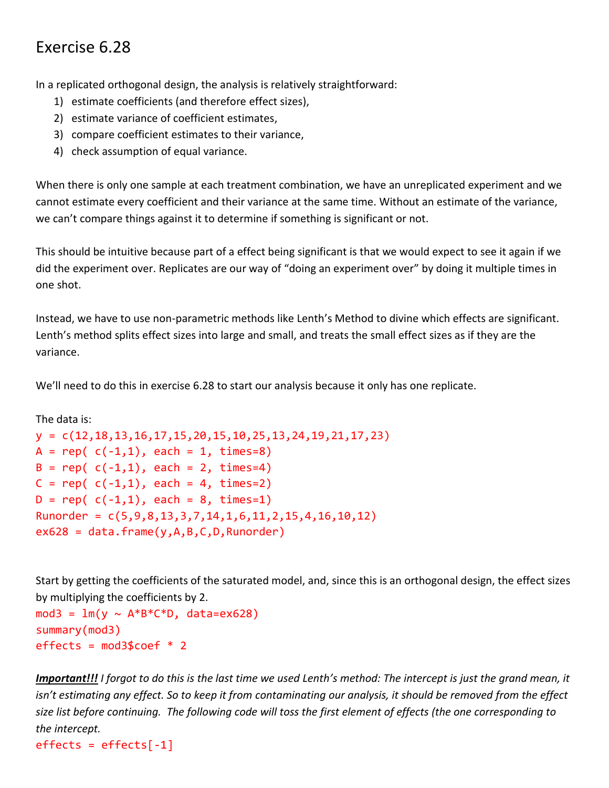## Exercise 6.28

In a replicated orthogonal design, the analysis is relatively straightforward:

- 1) estimate coefficients (and therefore effect sizes),
- 2) estimate variance of coefficient estimates,
- 3) compare coefficient estimates to their variance,
- 4) check assumption of equal variance.

When there is only one sample at each treatment combination, we have an unreplicated experiment and we cannot estimate every coefficient and their variance at the same time. Without an estimate of the variance, we can't compare things against it to determine if something is significant or not.

This should be intuitive because part of a effect being significant is that we would expect to see it again if we did the experiment over. Replicates are our way of "doing an experiment over" by doing it multiple times in one shot.

Instead, we have to use non-parametric methods like Lenth's Method to divine which effects are significant. Lenth's method splits effect sizes into large and small, and treats the small effect sizes as if they are the variance.

We'll need to do this in exercise 6.28 to start our analysis because it only has one replicate.

The data is:

```
y = c(12,18,13,16,17,15,20,15,10,25,13,24,19,21,17,23)
A = rep( c(-1,1), each = 1, times=8)B = rep( c(-1,1), each = 2, times=4)C = rep( c(-1,1), each = 4, times=2)D = rep( c(-1,1), each = 8, times=1)Runorder = c(5, 9, 8, 13, 3, 7, 14, 1, 6, 11, 2, 15, 4, 16, 10, 12)ex628 = data-frame(y,A,B,C,D,Runorder)
```
Start by getting the coefficients of the saturated model, and, since this is an orthogonal design, the effect sizes by multiplying the coefficients by 2.

```
mod3 = lm(v \sim A*B*C*D, data=ex628)
summary(mod3)
effects = mod36coef * 2
```
*Important!!! I forgot to do this is the last time we used Lenth's method: The intercept is just the grand mean, it isn't estimating any effect. So to keep it from contaminating our analysis, it should be removed from the effect size list before continuing. The following code will toss the first element of effects (the one corresponding to the intercept.*

 $effects = effects[-1]$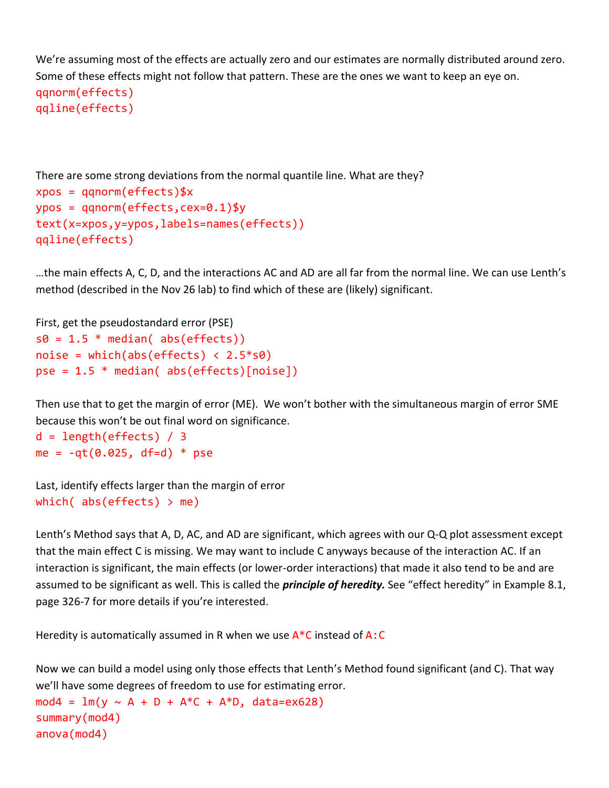We're assuming most of the effects are actually zero and our estimates are normally distributed around zero. Some of these effects might not follow that pattern. These are the ones we want to keep an eye on. qqnorm(effects)

qqline(effects)

```
There are some strong deviations from the normal quantile line. What are they?
xpos = qqnorm(effects)$x
ypos = qqnorm(effects,cex=0.1)$y
text(x=xpos,y=ypos,labels=names(effects))
qqline(effects)
```
…the main effects A, C, D, and the interactions AC and AD are all far from the normal line. We can use Lenth's method (described in the Nov 26 lab) to find which of these are (likely) significant.

```
First, get the pseudostandard error (PSE)
s0 = 1.5 * median( abs(effects))
noise = which(abs(effects) \langle 2.5*50 \ranglepse = 1.5 * median( abs(effects)[noise])
```
Then use that to get the margin of error (ME). We won't bother with the simultaneous margin of error SME because this won't be out final word on significance.

```
d = length(effects) / 3me = -qt(0.025, df=d) * pse
```

```
Last, identify effects larger than the margin of error
which(abs(effects) > me)
```
Lenth's Method says that A, D, AC, and AD are significant, which agrees with our Q-Q plot assessment except that the main effect C is missing. We may want to include C anyways because of the interaction AC. If an interaction is significant, the main effects (or lower-order interactions) that made it also tend to be and are assumed to be significant as well. This is called the *principle of heredity.* See "effect heredity" in Example 8.1, page 326-7 for more details if you're interested.

Heredity is automatically assumed in R when we use  $A^*C$  instead of A:C

Now we can build a model using only those effects that Lenth's Method found significant (and C). That way we'll have some degrees of freedom to use for estimating error.

mod4 = lm(y ~ A + D + A\*C + A\*D, data=ex628) summary(mod4) anova(mod4)